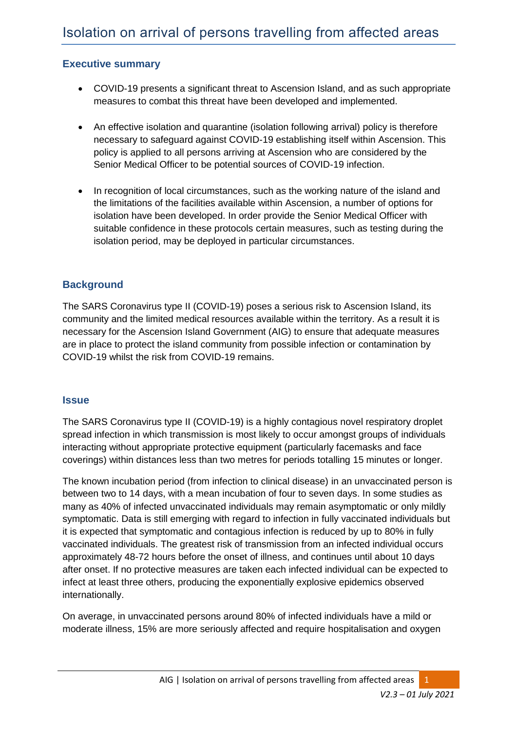# **Executive summary**

- COVID-19 presents a significant threat to Ascension Island, and as such appropriate measures to combat this threat have been developed and implemented.
- An effective isolation and quarantine (isolation following arrival) policy is therefore necessary to safeguard against COVID-19 establishing itself within Ascension. This policy is applied to all persons arriving at Ascension who are considered by the Senior Medical Officer to be potential sources of COVID-19 infection.
- In recognition of local circumstances, such as the working nature of the island and the limitations of the facilities available within Ascension, a number of options for isolation have been developed. In order provide the Senior Medical Officer with suitable confidence in these protocols certain measures, such as testing during the isolation period, may be deployed in particular circumstances.

# **Background**

The SARS Coronavirus type II (COVID-19) poses a serious risk to Ascension Island, its community and the limited medical resources available within the territory. As a result it is necessary for the Ascension Island Government (AIG) to ensure that adequate measures are in place to protect the island community from possible infection or contamination by COVID-19 whilst the risk from COVID-19 remains.

#### **Issue**

The SARS Coronavirus type II (COVID-19) is a highly contagious novel respiratory droplet spread infection in which transmission is most likely to occur amongst groups of individuals interacting without appropriate protective equipment (particularly facemasks and face coverings) within distances less than two metres for periods totalling 15 minutes or longer.

The known incubation period (from infection to clinical disease) in an unvaccinated person is between two to 14 days, with a mean incubation of four to seven days. In some studies as many as 40% of infected unvaccinated individuals may remain asymptomatic or only mildly symptomatic. Data is still emerging with regard to infection in fully vaccinated individuals but it is expected that symptomatic and contagious infection is reduced by up to 80% in fully vaccinated individuals. The greatest risk of transmission from an infected individual occurs approximately 48-72 hours before the onset of illness, and continues until about 10 days after onset. If no protective measures are taken each infected individual can be expected to infect at least three others, producing the exponentially explosive epidemics observed internationally.

On average, in unvaccinated persons around 80% of infected individuals have a mild or moderate illness, 15% are more seriously affected and require hospitalisation and oxygen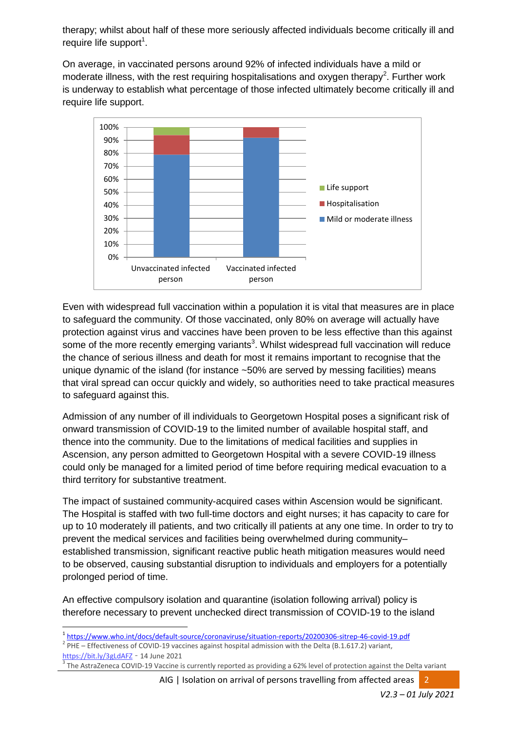therapy; whilst about half of these more seriously affected individuals become critically ill and require life support<sup>1</sup>.

On average, in vaccinated persons around 92% of infected individuals have a mild or moderate illness, with the rest requiring hospitalisations and oxygen therapy<sup>2</sup>. Further work is underway to establish what percentage of those infected ultimately become critically ill and require life support.



Even with widespread full vaccination within a population it is vital that measures are in place to safeguard the community. Of those vaccinated, only 80% on average will actually have protection against virus and vaccines have been proven to be less effective than this against some of the more recently emerging variants<sup>3</sup>. Whilst widespread full vaccination will reduce the chance of serious illness and death for most it remains important to recognise that the unique dynamic of the island (for instance ~50% are served by messing facilities) means that viral spread can occur quickly and widely, so authorities need to take practical measures to safeguard against this.

Admission of any number of ill individuals to Georgetown Hospital poses a significant risk of onward transmission of COVID-19 to the limited number of available hospital staff, and thence into the community. Due to the limitations of medical facilities and supplies in Ascension, any person admitted to Georgetown Hospital with a severe COVID-19 illness could only be managed for a limited period of time before requiring medical evacuation to a third territory for substantive treatment.

The impact of sustained community-acquired cases within Ascension would be significant. The Hospital is staffed with two full-time doctors and eight nurses; it has capacity to care for up to 10 moderately ill patients, and two critically ill patients at any one time. In order to try to prevent the medical services and facilities being overwhelmed during community– established transmission, significant reactive public heath mitigation measures would need to be observed, causing substantial disruption to individuals and employers for a potentially prolonged period of time.

An effective compulsory isolation and quarantine (isolation following arrival) policy is therefore necessary to prevent unchecked direct transmission of COVID-19 to the island

 $2$  PHE – Effectiveness of COVID-19 vaccines against hospital admission with the Delta (B.1.617.2) variant, <https://bit.ly/3gLdAFZ> – 14 June 2021

**.** 

AIG | Isolation on arrival of persons travelling from affected areas

<sup>1</sup> <https://www.who.int/docs/default-source/coronaviruse/situation-reports/20200306-sitrep-46-covid-19.pdf>

<sup>3</sup> The AstraZeneca COVID-19 Vaccine is currently reported as providing a 62% level of protection against the Delta variant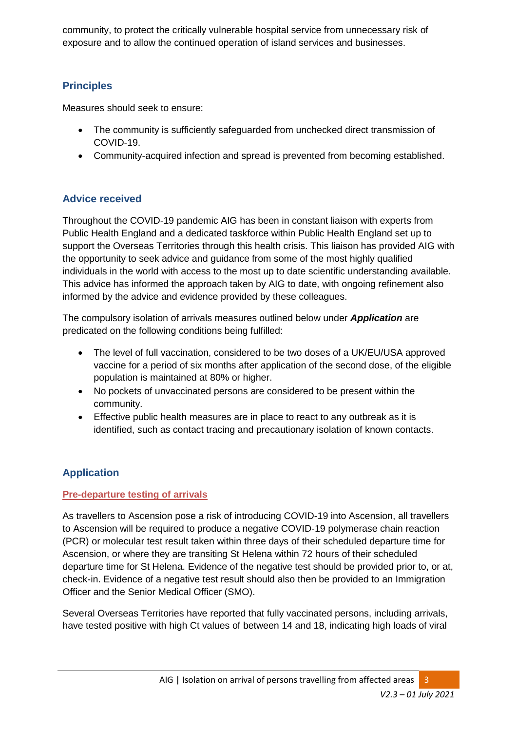community, to protect the critically vulnerable hospital service from unnecessary risk of exposure and to allow the continued operation of island services and businesses.

# **Principles**

Measures should seek to ensure:

- The community is sufficiently safeguarded from unchecked direct transmission of COVID-19.
- Community-acquired infection and spread is prevented from becoming established.

# **Advice received**

Throughout the COVID-19 pandemic AIG has been in constant liaison with experts from Public Health England and a dedicated taskforce within Public Health England set up to support the Overseas Territories through this health crisis. This liaison has provided AIG with the opportunity to seek advice and guidance from some of the most highly qualified individuals in the world with access to the most up to date scientific understanding available. This advice has informed the approach taken by AIG to date, with ongoing refinement also informed by the advice and evidence provided by these colleagues.

The compulsory isolation of arrivals measures outlined below under *Application* are predicated on the following conditions being fulfilled:

- The level of full vaccination, considered to be two doses of a UK/EU/USA approved vaccine for a period of six months after application of the second dose, of the eligible population is maintained at 80% or higher.
- No pockets of unvaccinated persons are considered to be present within the community.
- Effective public health measures are in place to react to any outbreak as it is identified, such as contact tracing and precautionary isolation of known contacts.

# **Application**

# **Pre-departure testing of arrivals**

As travellers to Ascension pose a risk of introducing COVID-19 into Ascension, all travellers to Ascension will be required to produce a negative COVID-19 polymerase chain reaction (PCR) or molecular test result taken within three days of their scheduled departure time for Ascension, or where they are transiting St Helena within 72 hours of their scheduled departure time for St Helena. Evidence of the negative test should be provided prior to, or at, check-in. Evidence of a negative test result should also then be provided to an Immigration Officer and the Senior Medical Officer (SMO).

Several Overseas Territories have reported that fully vaccinated persons, including arrivals, have tested positive with high Ct values of between 14 and 18, indicating high loads of viral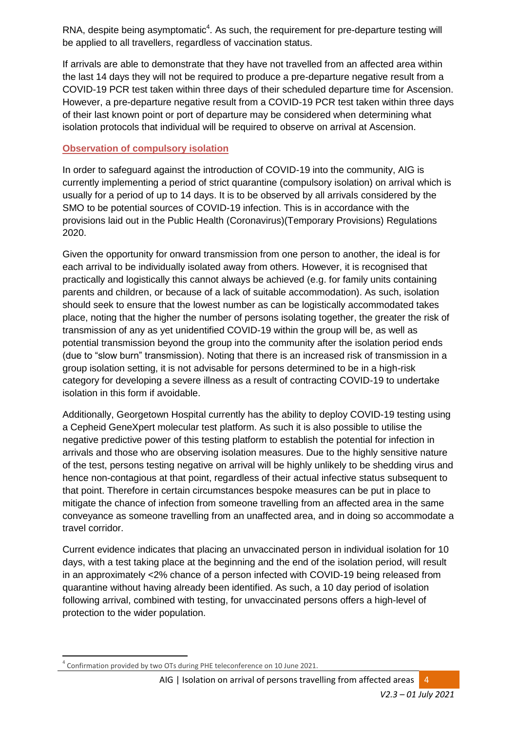RNA, despite being asymptomatic $4$ . As such, the requirement for pre-departure testing will be applied to all travellers, regardless of vaccination status.

If arrivals are able to demonstrate that they have not travelled from an affected area within the last 14 days they will not be required to produce a pre-departure negative result from a COVID-19 PCR test taken within three days of their scheduled departure time for Ascension. However, a pre-departure negative result from a COVID-19 PCR test taken within three days of their last known point or port of departure may be considered when determining what isolation protocols that individual will be required to observe on arrival at Ascension.

### **Observation of compulsory isolation**

In order to safeguard against the introduction of COVID-19 into the community, AIG is currently implementing a period of strict quarantine (compulsory isolation) on arrival which is usually for a period of up to 14 days. It is to be observed by all arrivals considered by the SMO to be potential sources of COVID-19 infection. This is in accordance with the provisions laid out in the Public Health (Coronavirus)(Temporary Provisions) Regulations 2020.

Given the opportunity for onward transmission from one person to another, the ideal is for each arrival to be individually isolated away from others. However, it is recognised that practically and logistically this cannot always be achieved (e.g. for family units containing parents and children, or because of a lack of suitable accommodation). As such, isolation should seek to ensure that the lowest number as can be logistically accommodated takes place, noting that the higher the number of persons isolating together, the greater the risk of transmission of any as yet unidentified COVID-19 within the group will be, as well as potential transmission beyond the group into the community after the isolation period ends (due to "slow burn" transmission). Noting that there is an increased risk of transmission in a group isolation setting, it is not advisable for persons determined to be in a high-risk category for developing a severe illness as a result of contracting COVID-19 to undertake isolation in this form if avoidable.

Additionally, Georgetown Hospital currently has the ability to deploy COVID-19 testing using a Cepheid GeneXpert molecular test platform. As such it is also possible to utilise the negative predictive power of this testing platform to establish the potential for infection in arrivals and those who are observing isolation measures. Due to the highly sensitive nature of the test, persons testing negative on arrival will be highly unlikely to be shedding virus and hence non-contagious at that point, regardless of their actual infective status subsequent to that point. Therefore in certain circumstances bespoke measures can be put in place to mitigate the chance of infection from someone travelling from an affected area in the same conveyance as someone travelling from an unaffected area, and in doing so accommodate a travel corridor.

Current evidence indicates that placing an unvaccinated person in individual isolation for 10 days, with a test taking place at the beginning and the end of the isolation period, will result in an approximately <2% chance of a person infected with COVID-19 being released from quarantine without having already been identified. As such, a 10 day period of isolation following arrival, combined with testing, for unvaccinated persons offers a high-level of protection to the wider population.

 $\overline{a}$ 4 Confirmation provided by two OTs during PHE teleconference on 10 June 2021.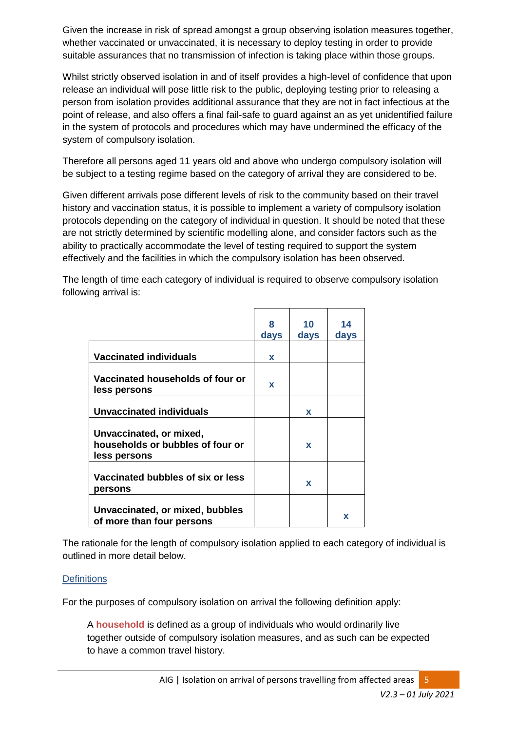Given the increase in risk of spread amongst a group observing isolation measures together, whether vaccinated or unvaccinated, it is necessary to deploy testing in order to provide suitable assurances that no transmission of infection is taking place within those groups.

Whilst strictly observed isolation in and of itself provides a high-level of confidence that upon release an individual will pose little risk to the public, deploying testing prior to releasing a person from isolation provides additional assurance that they are not in fact infectious at the point of release, and also offers a final fail-safe to guard against an as yet unidentified failure in the system of protocols and procedures which may have undermined the efficacy of the system of compulsory isolation.

Therefore all persons aged 11 years old and above who undergo compulsory isolation will be subject to a testing regime based on the category of arrival they are considered to be.

Given different arrivals pose different levels of risk to the community based on their travel history and vaccination status, it is possible to implement a variety of compulsory isolation protocols depending on the category of individual in question. It should be noted that these are not strictly determined by scientific modelling alone, and consider factors such as the ability to practically accommodate the level of testing required to support the system effectively and the facilities in which the compulsory isolation has been observed.

The length of time each category of individual is required to observe compulsory isolation following arrival is:

|                                                                             | ឧ<br>days | 10<br>days  | 14<br>days |
|-----------------------------------------------------------------------------|-----------|-------------|------------|
| <b>Vaccinated individuals</b>                                               | x         |             |            |
| Vaccinated households of four or<br>less persons                            | x         |             |            |
| Unvaccinated individuals                                                    |           | x           |            |
| Unvaccinated, or mixed,<br>households or bubbles of four or<br>less persons |           | $\mathbf x$ |            |
| Vaccinated bubbles of six or less<br>persons                                |           | $\mathbf x$ |            |
| Unvaccinated, or mixed, bubbles<br>of more than four persons                |           |             | x          |

The rationale for the length of compulsory isolation applied to each category of individual is outlined in more detail below.

#### **Definitions**

For the purposes of compulsory isolation on arrival the following definition apply:

A **household** is defined as a group of individuals who would ordinarily live together outside of compulsory isolation measures, and as such can be expected to have a common travel history.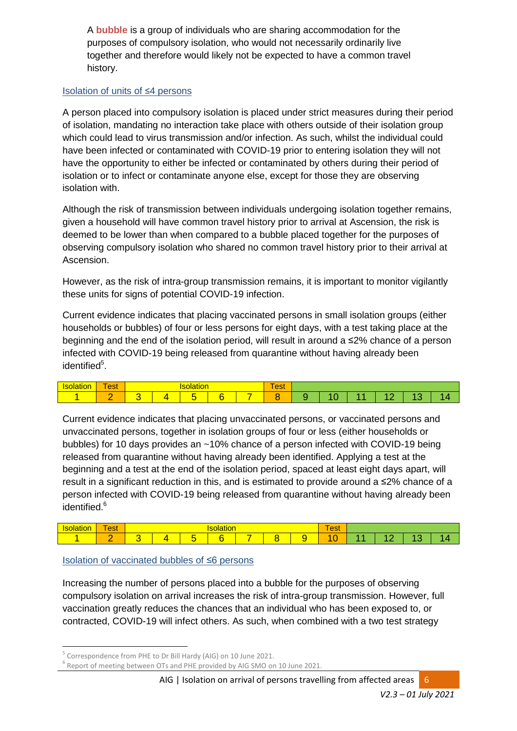A **bubble** is a group of individuals who are sharing accommodation for the purposes of compulsory isolation, who would not necessarily ordinarily live together and therefore would likely not be expected to have a common travel history.

#### Isolation of units of ≤4 persons

A person placed into compulsory isolation is placed under strict measures during their period of isolation, mandating no interaction take place with others outside of their isolation group which could lead to virus transmission and/or infection. As such, whilst the individual could have been infected or contaminated with COVID-19 prior to entering isolation they will not have the opportunity to either be infected or contaminated by others during their period of isolation or to infect or contaminate anyone else, except for those they are observing isolation with.

Although the risk of transmission between individuals undergoing isolation together remains, given a household will have common travel history prior to arrival at Ascension, the risk is deemed to be lower than when compared to a bubble placed together for the purposes of observing compulsory isolation who shared no common travel history prior to their arrival at Ascension.

However, as the risk of intra-group transmission remains, it is important to monitor vigilantly these units for signs of potential COVID-19 infection.

Current evidence indicates that placing vaccinated persons in small isolation groups (either households or bubbles) of four or less persons for eight days, with a test taking place at the beginning and the end of the isolation period, will result in around a ≤2% chance of a person infected with COVID-19 being released from quarantine without having already been identified<sup>5</sup>.

| -<br><b>STATISTICS</b><br>-- |   |  |  |  | $\overline{\phantom{a}}$<br>$\sim$ $\sim$<br>vu. |  |  |  |
|------------------------------|---|--|--|--|--------------------------------------------------|--|--|--|
|                              | - |  |  |  |                                                  |  |  |  |

Current evidence indicates that placing unvaccinated persons, or vaccinated persons and unvaccinated persons, together in isolation groups of four or less (either households or bubbles) for 10 days provides an ~10% chance of a person infected with COVID-19 being released from quarantine without having already been identified. Applying a test at the beginning and a test at the end of the isolation period, spaced at least eight days apart, will result in a significant reduction in this, and is estimated to provide around a ≤2% chance of a person infected with COVID-19 being released from quarantine without having already been identified.<sup>6</sup>

| - - -<br>שו | $\overline{\phantom{a}}$<br>est |  |    | auon | $\overline{\phantom{a}}$<br>est |  |  |  |     |  |
|-------------|---------------------------------|--|----|------|---------------------------------|--|--|--|-----|--|
|             | $\sim$                          |  | ست |      | -                               |  |  |  | . . |  |

#### Isolation of vaccinated bubbles of ≤6 persons

Increasing the number of persons placed into a bubble for the purposes of observing compulsory isolation on arrival increases the risk of intra-group transmission. However, full vaccination greatly reduces the chances that an individual who has been exposed to, or contracted, COVID-19 will infect others. As such, when combined with a two test strategy

1

AIG | Isolation on arrival of persons travelling from affected areas 6

<sup>5</sup> Correspondence from PHE to Dr Bill Hardy (AIG) on 10 June 2021.

<sup>&</sup>lt;sup>6</sup> Report of meeting between OTs and PHE provided by AIG SMO on 10 June 2021.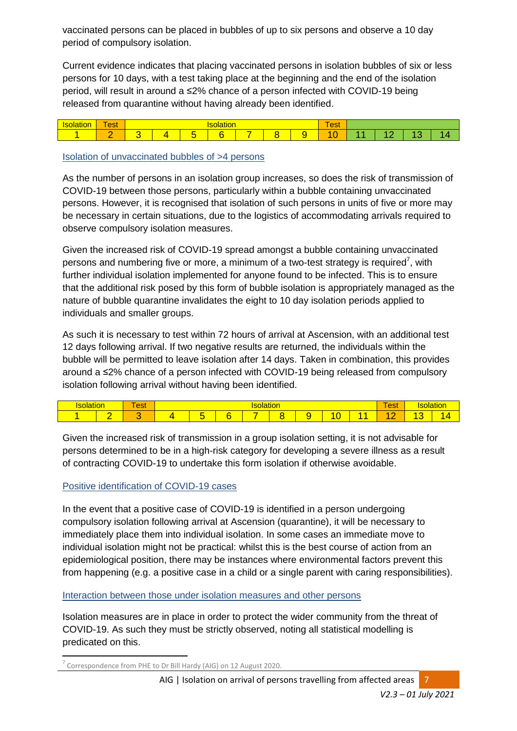vaccinated persons can be placed in bubbles of up to six persons and observe a 10 day period of compulsory isolation.

Current evidence indicates that placing vaccinated persons in isolation bubbles of six or less persons for 10 days, with a test taking place at the beginning and the end of the isolation period, will result in around a ≤2% chance of a person infected with COVID-19 being released from quarantine without having already been identified.

| $1 - 1 - 1$<br>.IUI | -<br>$\sim$<br><b>C</b> <sub>21</sub> |  | $50-10$<br>auvri | -<br><b>est</b> |  |  |  |  |  |
|---------------------|---------------------------------------|--|------------------|-----------------|--|--|--|--|--|
|                     |                                       |  |                  | _               |  |  |  |  |  |

Isolation of unvaccinated bubbles of >4 persons

As the number of persons in an isolation group increases, so does the risk of transmission of COVID-19 between those persons, particularly within a bubble containing unvaccinated persons. However, it is recognised that isolation of such persons in units of five or more may be necessary in certain situations, due to the logistics of accommodating arrivals required to observe compulsory isolation measures.

Given the increased risk of COVID-19 spread amongst a bubble containing unvaccinated persons and numbering five or more, a minimum of a two-test strategy is required<sup>7</sup>, with further individual isolation implemented for anyone found to be infected. This is to ensure that the additional risk posed by this form of bubble isolation is appropriately managed as the nature of bubble quarantine invalidates the eight to 10 day isolation periods applied to individuals and smaller groups.

As such it is necessary to test within 72 hours of arrival at Ascension, with an additional test 12 days following arrival. If two negative results are returned, the individuals within the bubble will be permitted to leave isolation after 14 days. Taken in combination, this provides around a ≤2% chance of a person infected with COVID-19 being released from compulsory isolation following arrival without having been identified.

|  | wu | w. |          |  |  |  |  |  |  |   |  |  |
|--|----|----|----------|--|--|--|--|--|--|---|--|--|
|  |    |    | -<br>. . |  |  |  |  |  |  | - |  |  |

Given the increased risk of transmission in a group isolation setting, it is not advisable for persons determined to be in a high-risk category for developing a severe illness as a result of contracting COVID-19 to undertake this form isolation if otherwise avoidable.

#### Positive identification of COVID-19 cases

In the event that a positive case of COVID-19 is identified in a person undergoing compulsory isolation following arrival at Ascension (quarantine), it will be necessary to immediately place them into individual isolation. In some cases an immediate move to individual isolation might not be practical: whilst this is the best course of action from an epidemiological position, there may be instances where environmental factors prevent this from happening (e.g. a positive case in a child or a single parent with caring responsibilities).

#### Interaction between those under isolation measures and other persons

Isolation measures are in place in order to protect the wider community from the threat of COVID-19. As such they must be strictly observed, noting all statistical modelling is predicated on this.

 $\overline{a}$ 7 Correspondence from PHE to Dr Bill Hardy (AIG) on 12 August 2020.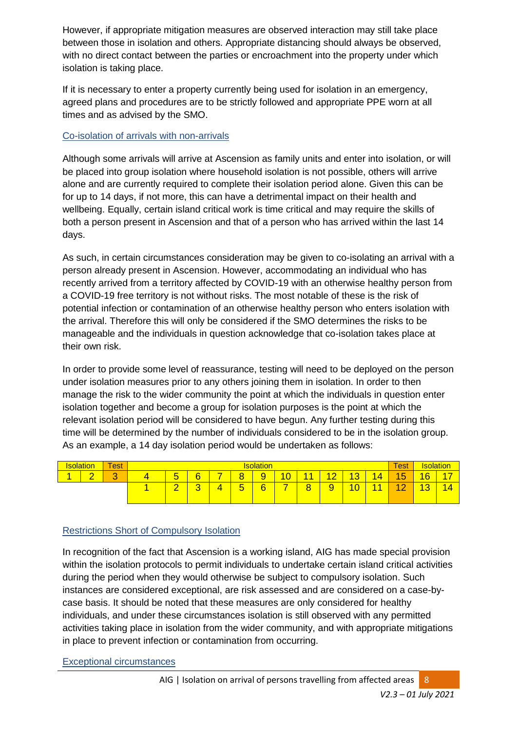However, if appropriate mitigation measures are observed interaction may still take place between those in isolation and others. Appropriate distancing should always be observed, with no direct contact between the parties or encroachment into the property under which isolation is taking place.

If it is necessary to enter a property currently being used for isolation in an emergency, agreed plans and procedures are to be strictly followed and appropriate PPE worn at all times and as advised by the SMO.

### Co-isolation of arrivals with non-arrivals

Although some arrivals will arrive at Ascension as family units and enter into isolation, or will be placed into group isolation where household isolation is not possible, others will arrive alone and are currently required to complete their isolation period alone. Given this can be for up to 14 days, if not more, this can have a detrimental impact on their health and wellbeing. Equally, certain island critical work is time critical and may require the skills of both a person present in Ascension and that of a person who has arrived within the last 14 days.

As such, in certain circumstances consideration may be given to co-isolating an arrival with a person already present in Ascension. However, accommodating an individual who has recently arrived from a territory affected by COVID-19 with an otherwise healthy person from a COVID-19 free territory is not without risks. The most notable of these is the risk of potential infection or contamination of an otherwise healthy person who enters isolation with the arrival. Therefore this will only be considered if the SMO determines the risks to be manageable and the individuals in question acknowledge that co-isolation takes place at their own risk.

In order to provide some level of reassurance, testing will need to be deployed on the person under isolation measures prior to any others joining them in isolation. In order to then manage the risk to the wider community the point at which the individuals in question enter isolation together and become a group for isolation purposes is the point at which the relevant isolation period will be considered to have begun. Any further testing during this time will be determined by the number of individuals considered to be in the isolation group. As an example, a 14 day isolation period would be undertaken as follows:

| Isolation |                          | <b>Test</b>     | <b>Isolation</b>                                                                                                                                             |        |   |             |   |  |   |                     |                                     |                                    | Test            |                                | Isolation |
|-----------|--------------------------|-----------------|--------------------------------------------------------------------------------------------------------------------------------------------------------------|--------|---|-------------|---|--|---|---------------------|-------------------------------------|------------------------------------|-----------------|--------------------------------|-----------|
| A         | $\overline{\phantom{0}}$ | $\sqrt{2}$<br>U | $-11$<br>$\overline{\phantom{a}}$<br>6<br>ō<br>۱0<br>$4\sigma$<br>$\overline{4}$<br>-<br>-<br>$\overline{14}$<br>л<br>u<br><b>.</b><br>ಀ<br>ັ<br>ັ<br>-<br>÷ |        |   |             |   |  |   |                     |                                     | $\overline{\phantom{0}}$<br>ħ<br>ಀ | 16              |                                |           |
|           |                          |                 | ⌒<br>-                                                                                                                                                       | ⌒<br>ັ | 4 | -<br>∽<br>ັ | 6 |  | 8 | $\overline{a}$<br>÷ | $\overline{0}$<br><b>STATISTICS</b> | ÷                                  | $\sqrt{2}$<br>- | 12<br>$\overline{\phantom{a}}$ | 14        |
|           |                          |                 |                                                                                                                                                              |        |   |             |   |  |   |                     |                                     |                                    |                 |                                |           |

# Restrictions Short of Compulsory Isolation

In recognition of the fact that Ascension is a working island, AIG has made special provision within the isolation protocols to permit individuals to undertake certain island critical activities during the period when they would otherwise be subject to compulsory isolation. Such instances are considered exceptional, are risk assessed and are considered on a case-bycase basis. It should be noted that these measures are only considered for healthy individuals, and under these circumstances isolation is still observed with any permitted activities taking place in isolation from the wider community, and with appropriate mitigations in place to prevent infection or contamination from occurring.

Exceptional circumstances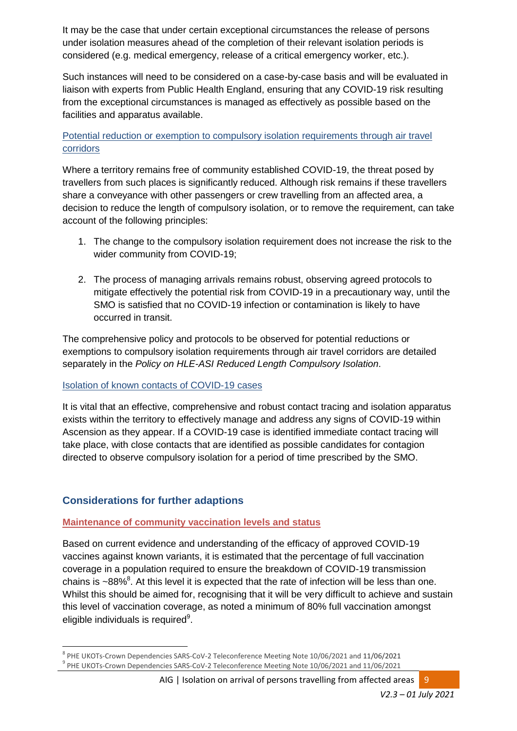It may be the case that under certain exceptional circumstances the release of persons under isolation measures ahead of the completion of their relevant isolation periods is considered (e.g. medical emergency, release of a critical emergency worker, etc.).

Such instances will need to be considered on a case-by-case basis and will be evaluated in liaison with experts from Public Health England, ensuring that any COVID-19 risk resulting from the exceptional circumstances is managed as effectively as possible based on the facilities and apparatus available.

### Potential reduction or exemption to compulsory isolation requirements through air travel corridors

Where a territory remains free of community established COVID-19, the threat posed by travellers from such places is significantly reduced. Although risk remains if these travellers share a conveyance with other passengers or crew travelling from an affected area, a decision to reduce the length of compulsory isolation, or to remove the requirement, can take account of the following principles:

- 1. The change to the compulsory isolation requirement does not increase the risk to the wider community from COVID-19;
- 2. The process of managing arrivals remains robust, observing agreed protocols to mitigate effectively the potential risk from COVID-19 in a precautionary way, until the SMO is satisfied that no COVID-19 infection or contamination is likely to have occurred in transit.

The comprehensive policy and protocols to be observed for potential reductions or exemptions to compulsory isolation requirements through air travel corridors are detailed separately in the *Policy on HLE-ASI Reduced Length Compulsory Isolation*.

#### Isolation of known contacts of COVID-19 cases

It is vital that an effective, comprehensive and robust contact tracing and isolation apparatus exists within the territory to effectively manage and address any signs of COVID-19 within Ascension as they appear. If a COVID-19 case is identified immediate contact tracing will take place, with close contacts that are identified as possible candidates for contagion directed to observe compulsory isolation for a period of time prescribed by the SMO.

# **Considerations for further adaptions**

1

# **Maintenance of community vaccination levels and status**

Based on current evidence and understanding of the efficacy of approved COVID-19 vaccines against known variants, it is estimated that the percentage of full vaccination coverage in a population required to ensure the breakdown of COVID-19 transmission chains is  $\sim$ 88%<sup>8</sup>. At this level it is expected that the rate of infection will be less than one. Whilst this should be aimed for, recognising that it will be very difficult to achieve and sustain this level of vaccination coverage, as noted a minimum of 80% full vaccination amongst eligible individuals is required $9$ .

<sup>&</sup>lt;sup>8</sup> PHE UKOTs-Crown Dependencies SARS-CoV-2 Teleconference Meeting Note 10/06/2021 and 11/06/2021 <sup>9</sup> PHE UKOTs-Crown Dependencies SARS-CoV-2 Teleconference Meeting Note 10/06/2021 and 11/06/2021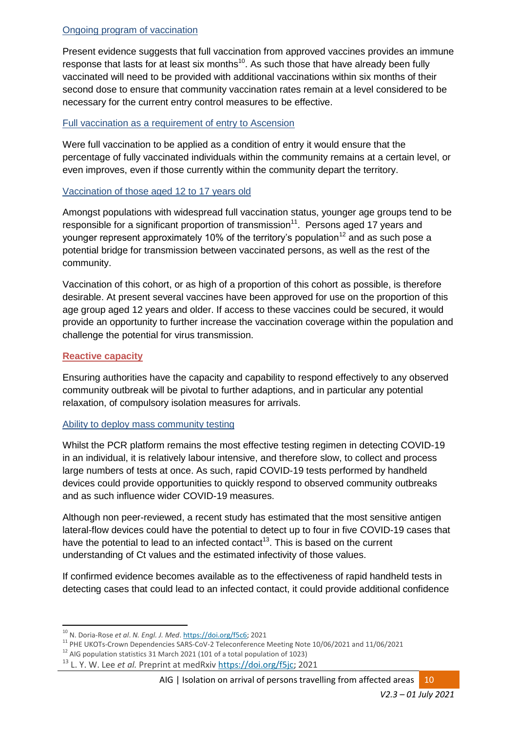### Ongoing program of vaccination

Present evidence suggests that full vaccination from approved vaccines provides an immune response that lasts for at least six months $^{10}$ . As such those that have already been fully vaccinated will need to be provided with additional vaccinations within six months of their second dose to ensure that community vaccination rates remain at a level considered to be necessary for the current entry control measures to be effective.

#### Full vaccination as a requirement of entry to Ascension

Were full vaccination to be applied as a condition of entry it would ensure that the percentage of fully vaccinated individuals within the community remains at a certain level, or even improves, even if those currently within the community depart the territory.

#### Vaccination of those aged 12 to 17 years old

Amongst populations with widespread full vaccination status, younger age groups tend to be responsible for a significant proportion of transmission<sup>11</sup>. Persons aged 17 years and younger represent approximately 10% of the territory's population<sup>12</sup> and as such pose a potential bridge for transmission between vaccinated persons, as well as the rest of the community.

Vaccination of this cohort, or as high of a proportion of this cohort as possible, is therefore desirable. At present several vaccines have been approved for use on the proportion of this age group aged 12 years and older. If access to these vaccines could be secured, it would provide an opportunity to further increase the vaccination coverage within the population and challenge the potential for virus transmission.

### **Reactive capacity**

Ensuring authorities have the capacity and capability to respond effectively to any observed community outbreak will be pivotal to further adaptions, and in particular any potential relaxation, of compulsory isolation measures for arrivals.

#### Ability to deploy mass community testing

Whilst the PCR platform remains the most effective testing regimen in detecting COVID-19 in an individual, it is relatively labour intensive, and therefore slow, to collect and process large numbers of tests at once. As such, rapid COVID-19 tests performed by handheld devices could provide opportunities to quickly respond to observed community outbreaks and as such influence wider COVID-19 measures.

Although non peer-reviewed, a recent study has estimated that the most sensitive antigen lateral-flow devices could have the potential to detect up to four in five COVID-19 cases that have the potential to lead to an infected contact<sup>13</sup>. This is based on the current understanding of Ct values and the estimated infectivity of those values.

If confirmed evidence becomes available as to the effectiveness of rapid handheld tests in detecting cases that could lead to an infected contact, it could provide additional confidence

**<sup>.</sup>** <sup>10</sup> N. Doria-Rose *et al*. *N. Engl. J. Med*. [https://doi.org/f5c6;](https://doi.org/f5c6) 2021

<sup>11</sup> PHE UKOTs-Crown Dependencies SARS-CoV-2 Teleconference Meeting Note 10/06/2021 and 11/06/2021

<sup>&</sup>lt;sup>12</sup> AIG population statistics 31 March 2021 (101 of a total population of 1023)

<sup>13</sup> L. Y. W. Lee *et al.* Preprint at medRxiv [https://doi.org/f5jc;](https://doi.org/f5jc) 2021